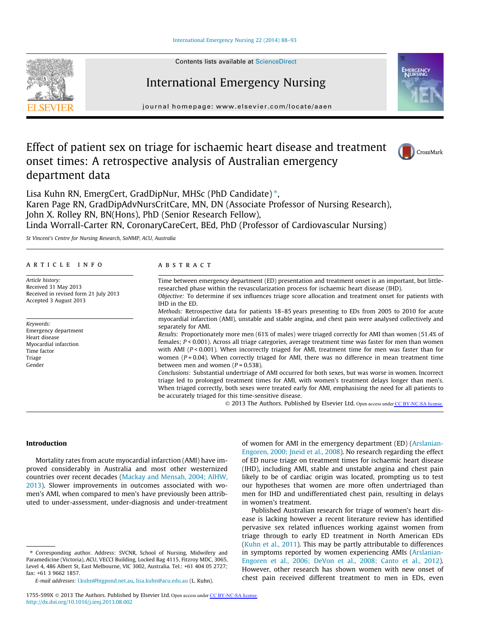#### [International Emergency Nursing 22 \(2014\) 88–93](http://dx.doi.org/10.1016/j.ienj.2013.08.002)



Contents lists available at [ScienceDirect](http://www.sciencedirect.com/science/journal/1755599X)

# International Emergency Nursing

journal homepage: [www.elsevier.com/locate/aaen](http://www.elsevier.com/locate/aaen)

# Effect of patient sex on triage for ischaemic heart disease and treatment onset times: A retrospective analysis of Australian emergency department data





Lisa Kuhn RN, EmergCert, GradDipNur, MHSc (PhD Candidate)\*, Karen Page RN, GradDipAdvNursCritCare, MN, DN (Associate Professor of Nursing Research), John X. Rolley RN, BN(Hons), PhD (Senior Research Fellow), Linda Worrall-Carter RN, CoronaryCareCert, BEd, PhD (Professor of Cardiovascular Nursing)

St Vincent's Centre for Nursing Research, SoNMP, ACU, Australia

# article info

Article history: Received 31 May 2013 Received in revised form 21 July 201 Accepted 3 August 2013

Keywords: Emergency department Heart disease Myocardial infarction Time factor Triage Gender

# **ABSTRACT**

| 3 | Time between emergency department (ED) presentation and treatment onset is an important, but little-<br>researched phase within the revascularization process for ischaemic heart disease (IHD).<br>Objective: To determine if sex influences triage score allocation and treatment onset for patients with<br>IHD in the ED.                                                                                                                                                  |
|---|--------------------------------------------------------------------------------------------------------------------------------------------------------------------------------------------------------------------------------------------------------------------------------------------------------------------------------------------------------------------------------------------------------------------------------------------------------------------------------|
|   | Methods: Retrospective data for patients 18–85 years presenting to EDs from 2005 to 2010 for acute<br>myocardial infarction (AMI), unstable and stable angina, and chest pain were analysed collectively and<br>separately for AMI.                                                                                                                                                                                                                                            |
|   | Results: Proportionately more men (61% of males) were triaged correctly for AMI than women (51.4% of<br>females; $P < 0.001$ ). Across all triage categories, average treatment time was faster for men than women<br>with AMI ( $P < 0.001$ ). When incorrectly triaged for AMI, treatment time for men was faster than for<br>women ( $P = 0.04$ ). When correctly triaged for AMI, there was no difference in mean treatment time<br>between men and women ( $P = 0.538$ ). |
|   | Conclusions: Substantial undertriage of AMI occurred for both sexes, but was worse in women. Incorrect<br>triage led to prolonged treatment times for AMI, with women's treatment delays longer than men's.<br>When triaged correctly, both sexes were treated early for AMI, emphasising the need for all patients to<br>be accurately triaged for this time-sensitive disease.                                                                                               |
|   |                                                                                                                                                                                                                                                                                                                                                                                                                                                                                |

© 2013 The Authors. Published by Elsevier Ltd. Open access under [CC BY-NC-SA license.](http://creativecommons.org/licenses/by-nc-sa/3.0/)

# Introduction

Mortality rates from acute myocardial infarction (AMI) have improved considerably in Australia and most other westernized countries over recent decades [\(Mackay and Mensah, 2004; AIHW,](#page-4-0) [2013\)](#page-4-0). Slower improvements in outcomes associated with women's AMI, when compared to men's have previously been attributed to under-assessment, under-diagnosis and under-treatment

⇑ Corresponding author. Address: SVCNR, School of Nursing, Midwifery and Paramedicine (Victoria), ACU, VECCI Building, Locked Bag 4115, Fitzroy MDC, 3065, Level 4, 486 Albert St, East Melbourne, VIC 3002, Australia. Tel.: +61 404 05 2727; fax: +61 3 9662 1857.

E-mail addresses: [l.kuhn@bigpond.net.au,](mailto:l.kuhn@bigpond.net.au) [lisa.kuhn@acu.edu.au](mailto:lisa.kuhn@acu.edu.au) (L. Kuhn).

of women for AMI in the emergency department (ED) ([Arslanian-](#page-4-0)[Engoren, 2000; Jneid et al., 2008](#page-4-0)). No research regarding the effect of ED nurse triage on treatment times for ischaemic heart disease (IHD), including AMI, stable and unstable angina and chest pain likely to be of cardiac origin was located, prompting us to test our hypotheses that women are more often undertriaged than men for IHD and undifferentiated chest pain, resulting in delays in women's treatment.

Published Australian research for triage of women's heart disease is lacking however a recent literature review has identified pervasive sex related influences working against women from triage through to early ED treatment in North American EDs ([Kuhn et al., 2011](#page-4-0)). This may be partly attributable to differences in symptoms reported by women experiencing AMIs ([Arslanian-](#page-4-0)[Engoren et al., 2006; DeVon et al., 2008; Canto et al., 2012\)](#page-4-0). However, other research has shown women with new onset of chest pain received different treatment to men in EDs, even

<sup>1755-599</sup>X @ 2013 The Authors. Published by Elsevier Ltd. Open access under [CC BY-NC-SA license.](http://creativecommons.org/licenses/by-nc-sa/3.0/) <http://dx.doi.org/10.1016/j.ienj.2013.08.002>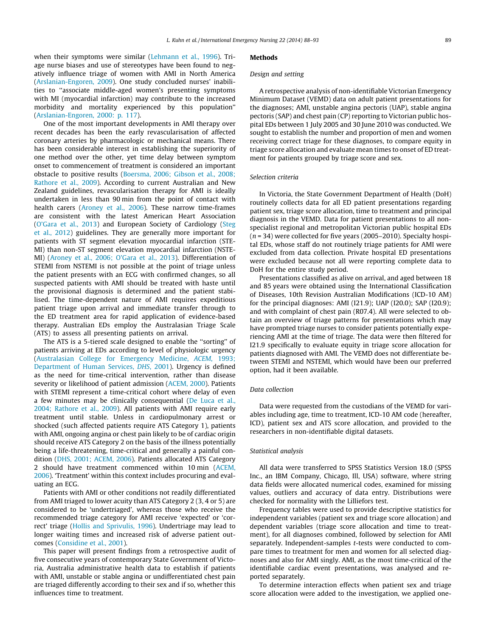when their symptoms were similar ([Lehmann et al., 1996](#page-4-0)). Triage nurse biases and use of stereotypes have been found to negatively influence triage of women with AMI in North America ([Arslanian-Engoren, 2009](#page-4-0)). One study concluded nurses' inabilities to ''associate middle-aged women's presenting symptoms with MI (myocardial infarction) may contribute to the increased morbidity and mortality experienced by this population'' ([Arslanian-Engoren, 2000: p. 117](#page-4-0)).

One of the most important developments in AMI therapy over recent decades has been the early revascularisation of affected coronary arteries by pharmacologic or mechanical means. There has been considerable interest in establishing the superiority of one method over the other, yet time delay between symptom onset to commencement of treatment is considered an important obstacle to positive results ([Boersma, 2006; Gibson et al., 2008;](#page-4-0) [Rathore et al., 2009\)](#page-4-0). According to current Australian and New Zealand guidelines, revascularisation therapy for AMI is ideally undertaken in less than 90 min from the point of contact with health carers [\(Aroney et al., 2006](#page-4-0)). These narrow time-frames are consistent with the latest American Heart Association ([O'Gara et al., 2013\)](#page-4-0) and European Society of Cardiology ([Steg](#page-5-0) [et al., 2012\)](#page-5-0) guidelines. They are generally more important for patients with ST segment elevation myocardial infarction (STE-MI) than non-ST segment elevation myocardial infarction (NSTE-MI) ([Aroney et al., 2006; O'Gara et al., 2013](#page-4-0)). Differentiation of STEMI from NSTEMI is not possible at the point of triage unless the patient presents with an ECG with confirmed changes, so all suspected patients with AMI should be treated with haste until the provisional diagnosis is determined and the patient stabilised. The time-dependent nature of AMI requires expeditious patient triage upon arrival and immediate transfer through to the ED treatment area for rapid application of evidence-based therapy. Australian EDs employ the Australasian Triage Scale (ATS) to assess all presenting patients on arrival.

The ATS is a 5-tiered scale designed to enable the ''sorting'' of patients arriving at EDs according to level of physiologic urgency ([Australasian College for Emergency Medicine,](#page-4-0) ACEM, 1993; [Department of Human Services,](#page-4-0) DHS, 2001). Urgency is defined as the need for time-critical intervention, rather than disease severity or likelihood of patient admission ([ACEM, 2000\)](#page-4-0). Patients with STEMI represent a time-critical cohort where delay of even a few minutes may be clinically consequential ([De Luca et al.,](#page-4-0) [2004; Rathore et al., 2009\)](#page-4-0). All patients with AMI require early treatment until stable. Unless in cardiopulmonary arrest or shocked (such affected patients require ATS Category 1), patients with AMI, ongoing angina or chest pain likely to be of cardiac origin should receive ATS Category 2 on the basis of the illness potentially being a life-threatening, time-critical and generally a painful condition [\(DHS, 2001; ACEM, 2006\)](#page-4-0). Patients allocated ATS Category 2 should have treatment commenced within 10 min [\(ACEM,](#page-4-0) [2006](#page-4-0)). 'Treatment' within this context includes procuring and evaluating an ECG.

Patients with AMI or other conditions not readily differentiated from AMI triaged to lower acuity than ATS Category 2 (3, 4 or 5) are considered to be 'undertriaged', whereas those who receive the recommended triage category for AMI receive 'expected' or 'correct' triage ([Hollis and Sprivulis, 1996](#page-4-0)). Undertriage may lead to longer waiting times and increased risk of adverse patient outcomes [\(Considine et al., 2001](#page-4-0)).

This paper will present findings from a retrospective audit of five consecutive years of contemporary State Government of Victoria, Australia administrative health data to establish if patients with AMI, unstable or stable angina or undifferentiated chest pain are triaged differently according to their sex and if so, whether this influences time to treatment.

# Methods

### Design and setting

A retrospective analysis of non-identifiable Victorian Emergency Minimum Dataset (VEMD) data on adult patient presentations for the diagnoses; AMI, unstable angina pectoris (UAP), stable angina pectoris (SAP) and chest pain (CP) reporting to Victorian public hospital EDs between 1 July 2005 and 30 June 2010 was conducted. We sought to establish the number and proportion of men and women receiving correct triage for these diagnoses, to compare equity in triage score allocation and evaluate mean times to onset of ED treatment for patients grouped by triage score and sex.

#### Selection criteria

In Victoria, the State Government Department of Health (DoH) routinely collects data for all ED patient presentations regarding patient sex, triage score allocation, time to treatment and principal diagnosis in the VEMD. Data for patient presentations to all nonspecialist regional and metropolitan Victorian public hospital EDs  $(n = 34)$  were collected for five years (2005–2010). Specialty hospital EDs, whose staff do not routinely triage patients for AMI were excluded from data collection. Private hospital ED presentations were excluded because not all were reporting complete data to DoH for the entire study period.

Presentations classified as alive on arrival, and aged between 18 and 85 years were obtained using the International Classification of Diseases, 10th Revision Australian Modifications (ICD-10 AM) for the principal diagnoses: AMI (I21.9); UAP (I20.0); SAP (I20.9); and with complaint of chest pain (R07.4). All were selected to obtain an overview of triage patterns for presentations which may have prompted triage nurses to consider patients potentially experiencing AMI at the time of triage. The data were then filtered for I21.9 specifically to evaluate equity in triage score allocation for patients diagnosed with AMI. The VEMD does not differentiate between STEMI and NSTEMI, which would have been our preferred option, had it been available.

## Data collection

Data were requested from the custodians of the VEMD for variables including age, time to treatment, ICD-10 AM code (hereafter, ICD), patient sex and ATS score allocation, and provided to the researchers in non-identifiable digital datasets.

### Statistical analysis

All data were transferred to SPSS Statistics Version 18.0 (SPSS Inc., an IBM Company, Chicago, Ill, USA) software, where string data fields were allocated numerical codes, examined for missing values, outliers and accuracy of data entry. Distributions were checked for normality with the Lilliefors test.

Frequency tables were used to provide descriptive statistics for independent variables (patient sex and triage score allocation) and dependent variables (triage score allocation and time to treatment), for all diagnoses combined, followed by selection for AMI separately. Independent-samples t-tests were conducted to compare times to treatment for men and women for all selected diagnoses and also for AMI singly. AMI, as the most time-critical of the identifiable cardiac event presentations, was analysed and reported separately.

To determine interaction effects when patient sex and triage score allocation were added to the investigation, we applied one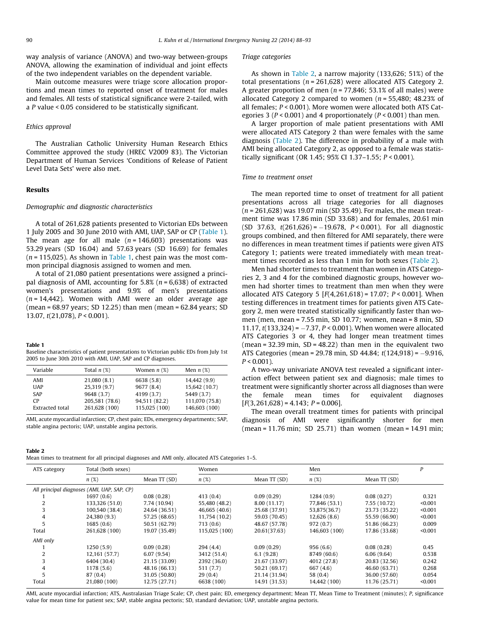<span id="page-2-0"></span>way analysis of variance (ANOVA) and two-way between-groups ANOVA, allowing the examination of individual and joint effects of the two independent variables on the dependent variable.

Main outcome measures were triage score allocation proportions and mean times to reported onset of treatment for males and females. All tests of statistical significance were 2-tailed, with a P value < 0.05 considered to be statistically significant.

# Ethics approval

The Australian Catholic University Human Research Ethics Committee approved the study (HREC V2009 83). The Victorian Department of Human Services 'Conditions of Release of Patient Level Data Sets' were also met.

# Results

## Demographic and diagnostic characteristics

A total of 261,628 patients presented to Victorian EDs between 1 July 2005 and 30 June 2010 with AMI, UAP, SAP or CP (Table 1). The mean age for all male  $(n = 146,603)$  presentations was 53.29 years (SD 16.04) and 57.63 years (SD 16.69) for females  $(n = 115,025)$ . As shown in Table 1, chest pain was the most common principal diagnosis assigned to women and men.

A total of 21,080 patient presentations were assigned a principal diagnosis of AMI, accounting for  $5.8\%$  ( $n = 6.638$ ) of extracted women's presentations and 9.9% of men's presentations  $(n = 14,442)$ . Women with AMI were an older average age (mean = 68.97 years; SD 12.25) than men (mean = 62.84 years; SD 13.07, t(21,078), P < 0.001).

#### Table 1

Baseline characteristics of patient presentations to Victorian public EDs from July 1st 2005 to June 30th 2010 with AMI, UAP, SAP and CP diagnoses.

| Variable        | Total $n$ $(\%)$ | Women $n$ (%) | Men $n(x)$     |
|-----------------|------------------|---------------|----------------|
| AMI             | 21,080 (8.1)     | 6638 (5.8)    | 14,442 (9.9)   |
| <b>UAP</b>      | 25,319 (9.7)     | 9677 (8.4)    | 15,642 (10.7)  |
| <b>SAP</b>      | 9648 (3.7)       | 4199 (3.7)    | 5449 (3.7)     |
| <b>CP</b>       | 205,581 (78.6)   | 94,511 (82.2) | 111,070 (75.8) |
| Extracted total | 261,628 (100)    | 115,025 (100) | 146,603 (100)  |

AMI, acute myocardial infarction; CP, chest pain; EDs, emergency departments; SAP, stable angina pectoris; UAP, unstable angina pectoris.

#### Triage categories

As shown in Table 2, a narrow majority (133,626; 51%) of the total presentations ( $n = 261,628$ ) were allocated ATS Category 2. A greater proportion of men ( $n = 77,846$ ; 53.1% of all males) were allocated Category 2 compared to women ( $n = 55,480$ ; 48.23% of all females; P < 0.001). More women were allocated both ATS Categories 3 ( $P < 0.001$ ) and 4 proportionately ( $P < 0.001$ ) than men.

A larger proportion of male patient presentations with AMI were allocated ATS Category 2 than were females with the same diagnosis (Table 2). The difference in probability of a male with AMI being allocated Category 2, as opposed to a female was statistically significant (OR 1.45; 95% CI 1.37–1.55; P < 0.001).

#### Time to treatment onset

The mean reported time to onset of treatment for all patient presentations across all triage categories for all diagnoses  $(n = 261,628)$  was 19.07 min (SD 35.49). For males, the mean treatment time was 17.86 min (SD 33.68) and for females, 20.61 min  $(SD 37.63, t(261,626) = -19.678, P < 0.001$ ). For all diagnostic groups combined, and then filtered for AMI separately, there were no differences in mean treatment times if patients were given ATS Category 1; patients were treated immediately with mean treatment times recorded as less than 1 min for both sexes (Table 2).

Men had shorter times to treatment than women in ATS Categories 2, 3 and 4 for the combined diagnostic groups, however women had shorter times to treatment than men when they were allocated ATS Category 5  $[F(4, 261, 618) = 17.07; P < 0.001]$ . When testing differences in treatment times for patients given ATS Category 2, men were treated statistically significantly faster than women (men, mean = 7.55 min, SD 10.77; women, mean = 8 min, SD 11.17,  $t(133,324) = -7.37$ ,  $P < 0.001$ ). When women were allocated ATS Categories 3 or 4, they had longer mean treatment times  $($ mean = 32.39 min, SD = 48.22) than men in the equivalent two ATS Categories (mean = 29.78 min, SD 44.84; t(124,918) = -9.916,  $P < 0.001$ ).

A two-way univariate ANOVA test revealed a significant interaction effect between patient sex and diagnosis; male times to treatment were significantly shorter across all diagnoses than were the female mean times for equivalent diagnoses  $[F(3, 261, 628) = 4.143; P = 0.006].$ 

The mean overall treatment times for patients with principal diagnosis of AMI were significantly shorter for men (mean = 11.76 min; SD 25.71) than women (mean = 14.91 min;

| Table 2                                                                                         |  |  |
|-------------------------------------------------------------------------------------------------|--|--|
| Mean times to treatment for all principal diagnoses and AMI only, allocated ATS Categories 1–5. |  |  |

| ATS category                                | Total (both sexes) |               | Women         |               | Men           |               | P       |
|---------------------------------------------|--------------------|---------------|---------------|---------------|---------------|---------------|---------|
|                                             | n(%)               | Mean TT (SD)  | n(%)          | Mean TT (SD)  | n(%)          | Mean TT (SD)  |         |
| All principal diagnoses (AMI, UAP, SAP, CP) |                    |               |               |               |               |               |         |
|                                             | 1697(0.6)          | 0.08(0.28)    | 413(0.4)      | 0.09(0.29)    | 1284(0.9)     | 0.08(0.27)    | 0.321   |
|                                             | 133,326 (51.0)     | 7.74 (10.94)  | 55,480 (48.2) | 8.00 (11.17)  | 77,846 (53.1) | 7.55 (10.72)  | < 0.001 |
|                                             | 100,540 (38.4)     | 24.64 (36.51) | 46,665 (40.6) | 25.68 (37.91) | 53,875(36.7)  | 23.73 (35.22) | < 0.001 |
|                                             | 24,380 (9.3)       | 57.25 (68.65) | 11,754 (10.2) | 59.03 (70.45) | 12,626(8.6)   | 55.59 (66.90) | < 0.001 |
|                                             | 1685(0.6)          | 50.51 (62.79) | 713(0.6)      | 48.67 (57.78) | 972(0.7)      | 51.86 (66.23) | 0.009   |
| Total                                       | 261,628 (100)      | 19.07 (35.49) | 115,025 (100) | 20.61(37.63)  | 146,603 (100) | 17.86 (33.68) | < 0.001 |
| AMI only                                    |                    |               |               |               |               |               |         |
|                                             | 1250(5.9)          | 0.09(0.28)    | 294(4.4)      | 0.09(0.29)    | 956(6.6)      | 0.08(0.28)    | 0.45    |
|                                             | 12,161 (57.7)      | 6.07(9.54)    | 3412 (51.4)   | 6.1(9.28)     | 8749 (60.6)   | 6.06(9.64)    | 0.538   |
|                                             | 6404 (30.4)        | 21.15 (33.09) | 2392 (36.0)   | 21.67 (33.97) | 4012 (27.8)   | 20.83 (32.56) | 0.242   |
| 4                                           | 1178(5.6)          | 48.16 (66.13) | 511(7.7)      | 50.21 (69.17) | 667 (4.6)     | 46.60 (63.71) | 0.268   |
| 5                                           | 87(0.4)            | 31.05 (50.80) | 29(0.4)       | 21.14 (31.94) | 58 (0.4)      | 36.00 (57.60) | 0.054   |
| Total                                       | 21,080 (100)       | 12.75 (27.71) | 6638 (100)    | 14.91 (31.53) | 14,442 (100)  | 11.76 (25.71) | < 0.001 |

AMI, acute myocardial infarction; ATS, Australasian Triage Scale; CP, chest pain; ED, emergency department; Mean TT, Mean Time to Treatment (minutes); P, significance value for mean time for patient sex; SAP, stable angina pectoris; SD, standard deviation; UAP, unstable angina pectoris.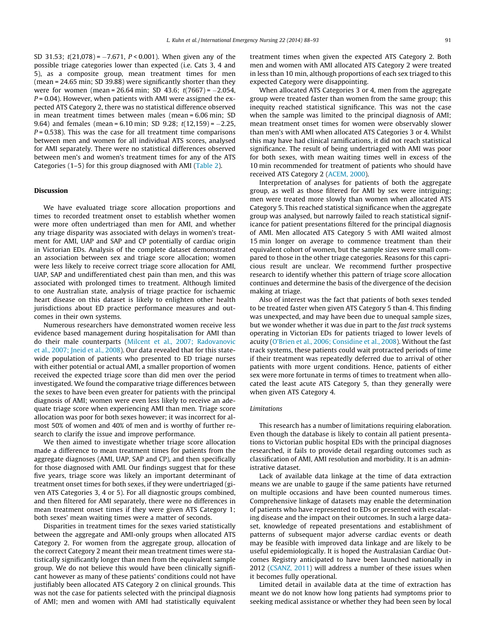SD 31.53; t(21,078) = -7.671, P < 0.001). When given any of the possible triage categories lower than expected (i.e. Cats 3, 4 and 5), as a composite group, mean treatment times for men (mean = 24.65 min; SD 39.88) were significantly shorter than they were for women (mean = 26.64 min; SD 43.6; t(7667) = -2.054,  $P = 0.04$ ). However, when patients with AMI were assigned the expected ATS Category 2, there was no statistical difference observed in mean treatment times between males (mean = 6.06 min; SD 9.64) and females (mean = 6.10 min; SD 9.28; t(12,159) = -2.25,  $P = 0.538$ ). This was the case for all treatment time comparisons between men and women for all individual ATS scores, analysed for AMI separately. There were no statistical differences observed between men's and women's treatment times for any of the ATS Categories (1–5) for this group diagnosed with AMI ([Table 2](#page-2-0)).

### Discussion

We have evaluated triage score allocation proportions and times to recorded treatment onset to establish whether women were more often undertriaged than men for AMI, and whether any triage disparity was associated with delays in women's treatment for AMI, UAP and SAP and CP potentially of cardiac origin in Victorian EDs. Analysis of the complete dataset demonstrated an association between sex and triage score allocation; women were less likely to receive correct triage score allocation for AMI, UAP, SAP and undifferentiated chest pain than men, and this was associated with prolonged times to treatment. Although limited to one Australian state, analysis of triage practice for ischaemic heart disease on this dataset is likely to enlighten other health jurisdictions about ED practice performance measures and outcomes in their own systems.

Numerous researchers have demonstrated women receive less evidence based management during hospitalisation for AMI than do their male counterparts ([Milcent et al., 2007; Radovanovic](#page-4-0) [et al., 2007; Jneid et al., 2008](#page-4-0)). Our data revealed that for this statewide population of patients who presented to ED triage nurses with either potential or actual AMI, a smaller proportion of women received the expected triage score than did men over the period investigated. We found the comparative triage differences between the sexes to have been even greater for patients with the principal diagnosis of AMI; women were even less likely to receive an adequate triage score when experiencing AMI than men. Triage score allocation was poor for both sexes however; it was incorrect for almost 50% of women and 40% of men and is worthy of further research to clarify the issue and improve performance.

We then aimed to investigate whether triage score allocation made a difference to mean treatment times for patients from the aggregate diagnoses (AMI, UAP, SAP and CP), and then specifically for those diagnosed with AMI. Our findings suggest that for these five years, triage score was likely an important determinant of treatment onset times for both sexes, if they were undertriaged (given ATS Categories 3, 4 or 5). For all diagnostic groups combined, and then filtered for AMI separately, there were no differences in mean treatment onset times if they were given ATS Category 1; both sexes' mean waiting times were a matter of seconds.

Disparities in treatment times for the sexes varied statistically between the aggregate and AMI-only groups when allocated ATS Category 2. For women from the aggregate group, allocation of the correct Category 2 meant their mean treatment times were statistically significantly longer than men from the equivalent sample group. We do not believe this would have been clinically significant however as many of these patients' conditions could not have justifiably been allocated ATS Category 2 on clinical grounds. This was not the case for patients selected with the principal diagnosis of AMI; men and women with AMI had statistically equivalent treatment times when given the expected ATS Category 2. Both men and women with AMI allocated ATS Category 2 were treated in less than 10 min, although proportions of each sex triaged to this expected Category were disappointing.

When allocated ATS Categories 3 or 4, men from the aggregate group were treated faster than women from the same group; this inequity reached statistical significance. This was not the case when the sample was limited to the principal diagnosis of AMI; mean treatment onset times for women were observably slower than men's with AMI when allocated ATS Categories 3 or 4. Whilst this may have had clinical ramifications, it did not reach statistical significance. The result of being undertriaged with AMI was poor for both sexes, with mean waiting times well in excess of the 10 min recommended for treatment of patients who should have received ATS Category 2 [\(ACEM, 2000](#page-4-0)).

Interpretation of analyses for patients of both the aggregate group, as well as those filtered for AMI by sex were intriguing; men were treated more slowly than women when allocated ATS Category 5. This reached statistical significance when the aggregate group was analysed, but narrowly failed to reach statistical significance for patient presentations filtered for the principal diagnosis of AMI. Men allocated ATS Category 5 with AMI waited almost 15 min longer on average to commence treatment than their equivalent cohort of women, but the sample sizes were small compared to those in the other triage categories. Reasons for this capricious result are unclear. We recommend further prospective research to identify whether this pattern of triage score allocation continues and determine the basis of the divergence of the decision making at triage.

Also of interest was the fact that patients of both sexes tended to be treated faster when given ATS Category 5 than 4. This finding was unexpected, and may have been due to unequal sample sizes, but we wonder whether it was due in part to the fast track systems operating in Victorian EDs for patients triaged to lower levels of acuity ([O'Brien et al., 2006; Considine et al., 2008](#page-4-0)). Without the fast track systems, these patients could wait protracted periods of time if their treatment was repeatedly deferred due to arrival of other patients with more urgent conditions. Hence, patients of either sex were more fortunate in terms of times to treatment when allocated the least acute ATS Category 5, than they generally were when given ATS Category 4.

## Limitations

This research has a number of limitations requiring elaboration. Even though the database is likely to contain all patient presentations to Victorian public hospital EDs with the principal diagnoses researched, it fails to provide detail regarding outcomes such as classification of AMI, AMI resolution and morbidity. It is an administrative dataset.

Lack of available data linkage at the time of data extraction means we are unable to gauge if the same patients have returned on multiple occasions and have been counted numerous times. Comprehensive linkage of datasets may enable the determination of patients who have represented to EDs or presented with escalating disease and the impact on their outcomes. In such a large dataset, knowledge of repeated presentations and establishment of patterns of subsequent major adverse cardiac events or death may be feasible with improved data linkage and are likely to be useful epidemiologically. It is hoped the Australasian Cardiac Outcomes Registry anticipated to have been launched nationally in 2012 ([CSANZ, 2011\)](#page-4-0) will address a number of these issues when it becomes fully operational.

Limited detail in available data at the time of extraction has meant we do not know how long patients had symptoms prior to seeking medical assistance or whether they had been seen by local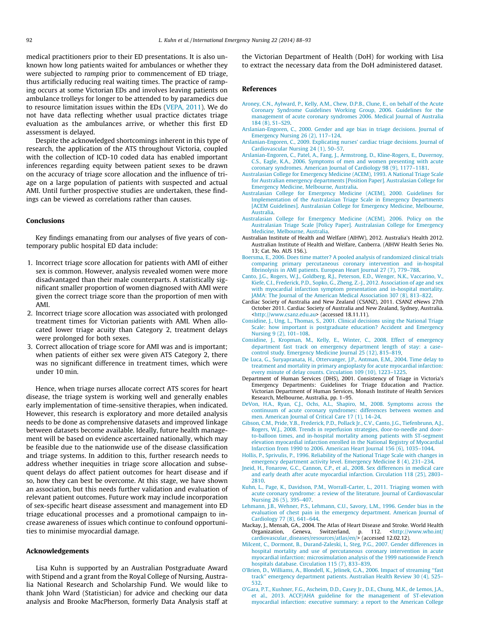<span id="page-4-0"></span>medical practitioners prior to their ED presentations. It is also unknown how long patients waited for ambulances or whether they were subjected to ramping prior to commencement of ED triage, thus artificially reducing real waiting times. The practice of ramping occurs at some Victorian EDs and involves leaving patients on ambulance trolleys for longer to be attended to by paramedics due to resource limitation issues within the EDs [\(VEPA, 2011\)](#page-5-0). We do not have data reflecting whether usual practice dictates triage evaluation as the ambulances arrive, or whether this first ED assessment is delayed.

Despite the acknowledged shortcomings inherent in this type of research, the application of the ATS throughout Victoria, coupled with the collection of ICD-10 coded data has enabled important inferences regarding equity between patient sexes to be drawn on the accuracy of triage score allocation and the influence of triage on a large population of patients with suspected and actual AMI. Until further prospective studies are undertaken, these findings can be viewed as correlations rather than causes.

# Conclusions

Key findings emanating from our analyses of five years of contemporary public hospital ED data include:

- 1. Incorrect triage score allocation for patients with AMI of either sex is common. However, analysis revealed women were more disadvantaged than their male counterparts. A statistically significant smaller proportion of women diagnosed with AMI were given the correct triage score than the proportion of men with AMI.
- 2. Incorrect triage score allocation was associated with prolonged treatment times for Victorian patients with AMI. When allocated lower triage acuity than Category 2, treatment delays were prolonged for both sexes.
- 3. Correct allocation of triage score for AMI was and is important; when patients of either sex were given ATS Category 2, there was no significant difference in treatment times, which were under 10 min.

Hence, when triage nurses allocate correct ATS scores for heart disease, the triage system is working well and generally enables early implementation of time-sensitive therapies, when indicated. However, this research is exploratory and more detailed analysis needs to be done as comprehensive datasets and improved linkage between datasets become available. Ideally, future health management will be based on evidence ascertained nationally, which may be feasible due to the nationwide use of the disease classification and triage systems. In addition to this, further research needs to address whether inequities in triage score allocation and subsequent delays do affect patient outcomes for heart disease and if so, how they can best be overcome. At this stage, we have shown an association, but this needs further validation and evaluation of relevant patient outcomes. Future work may include incorporation of sex-specific heart disease assessment and management into ED triage educational processes and a promotional campaign to increase awareness of issues which continue to confound opportunities to minimise myocardial damage.

# Acknowledgements

Lisa Kuhn is supported by an Australian Postgraduate Award with Stipend and a grant from the Royal College of Nursing, Australia National Research and Scholarship Fund. We would like to thank John Ward (Statistician) for advice and checking our data analysis and Brooke MacPherson, formerly Data Analysis staff at the Victorian Department of Health (DoH) for working with Lisa to extract the necessary data from the DoH administered dataset.

### References

- [Aroney, C.N., Aylward, P., Kelly, A.M., Chew, D.P.B., Clune, E., on behalf of the Acute](http://refhub.elsevier.com/S1755-599X(13)00067-0/h0005) [Coronary Syndrome Guidelines Working Group, 2006. Guidelines for the](http://refhub.elsevier.com/S1755-599X(13)00067-0/h0005) [management of acute coronary syndromes 2006. Medical Journal of Australia](http://refhub.elsevier.com/S1755-599X(13)00067-0/h0005) [184 \(8\), S1–S29.](http://refhub.elsevier.com/S1755-599X(13)00067-0/h0005)
- [Arslanian-Engoren, C., 2000. Gender and age bias in triage decisions. Journal of](http://refhub.elsevier.com/S1755-599X(13)00067-0/h0010) [Emergency Nursing 26 \(2\), 117–124](http://refhub.elsevier.com/S1755-599X(13)00067-0/h0010).
- [Arslanian-Engoren, C., 2009. Explicating nurses' cardiac triage decisions. Journal of](http://refhub.elsevier.com/S1755-599X(13)00067-0/h0015) [Cardiovascular Nursing 24 \(1\), 50–57](http://refhub.elsevier.com/S1755-599X(13)00067-0/h0015).
- [Arslanian-Engoren, C., Patel, A., Fang, J., Armstrong, D., Kline-Rogers, E., Duvernoy,](http://refhub.elsevier.com/S1755-599X(13)00067-0/h0020) [C.S., Eagle, K.A., 2006. Symptoms of men and women presenting with acute](http://refhub.elsevier.com/S1755-599X(13)00067-0/h0020) [coronary syndromes. American Journal of Cardiology 98 \(9\), 1177–1181](http://refhub.elsevier.com/S1755-599X(13)00067-0/h0020).
- [Australasian College for Emergency Medicine \(ACEM\), 1993. A National Triage Scale](http://refhub.elsevier.com/S1755-599X(13)00067-0/h0025) [for Australian emergency departments \[Position Paper\]. Australasian College for](http://refhub.elsevier.com/S1755-599X(13)00067-0/h0025) [Emergency Medicine, Melbourne, Australia](http://refhub.elsevier.com/S1755-599X(13)00067-0/h0025).
- [Australasian College for Emergency Medicine \(ACEM\), 2000. Guidelines for](http://refhub.elsevier.com/S1755-599X(13)00067-0/h0030) [Implementation of the Australasian Triage Scale in Emergency Departments](http://refhub.elsevier.com/S1755-599X(13)00067-0/h0030) [\[ACEM Guidelines\]. Australasian College for Emergency Medicine, Melbourne,](http://refhub.elsevier.com/S1755-599X(13)00067-0/h0030) [Australia.](http://refhub.elsevier.com/S1755-599X(13)00067-0/h0030)
- [Australasian College for Emergency Medicine \(ACEM\), 2006. Policy on the](http://refhub.elsevier.com/S1755-599X(13)00067-0/h0035) [Australasian Triage Scale \[Policy Paper\]. Australasian College for Emergency](http://refhub.elsevier.com/S1755-599X(13)00067-0/h0035) [Medicine, Melbourne, Australia.](http://refhub.elsevier.com/S1755-599X(13)00067-0/h0035)
- Australian Institute of Health and Welfare (AIHW), 2012. Australia's Health 2012. Australian Institute of Health and Welfare, Canberra. (AIHW Health Series No.  $13:$  Cat. No. AUS 156.).
- [Boersma, E., 2006. Does time matter? A pooled analysis of randomized clinical trials](http://refhub.elsevier.com/S1755-599X(13)00067-0/h0040) [comparing primary percutaneous coronary intervention and in-hospital](http://refhub.elsevier.com/S1755-599X(13)00067-0/h0040) [fibrinolysis in AMI patients. European Heart Journal 27 \(7\), 779–788](http://refhub.elsevier.com/S1755-599X(13)00067-0/h0040).
- [Canto, J.G., Rogers, W.J., Goldberg, R.J., Peterson, E.D., Wenger, N.K., Vaccarino, V.,](http://refhub.elsevier.com/S1755-599X(13)00067-0/h0045) [Kiefe, C.I., Frederick, P.D., Sopko, G., Zheng, Z.-J., 2012. Association of age and sex](http://refhub.elsevier.com/S1755-599X(13)00067-0/h0045) [with myocardial infarction symptom presentation and in-hospital mortality.](http://refhub.elsevier.com/S1755-599X(13)00067-0/h0045) [JAMA: The Journal of the American Medical Association 307 \(8\), 813–822.](http://refhub.elsevier.com/S1755-599X(13)00067-0/h0045)
- Cardiac Society of Australia and New Zealand (CSANZ), 2011. CSANZ eNews 27th October 2011. Cardiac Society of Australia and New Zealand, Sydney, Australia. [<http://www.csanz.edu.au>](http://www.csanz.edu.au) (accessed 18.11.11).
- [Considine, J., Ung, L., Thomas, S., 2001. Clinical decisions using the National Triage](http://refhub.elsevier.com/S1755-599X(13)00067-0/h0050) [Scale: how important is postgraduate education? Accident and Emergency](http://refhub.elsevier.com/S1755-599X(13)00067-0/h0050) [Nursing 9 \(2\), 101–108](http://refhub.elsevier.com/S1755-599X(13)00067-0/h0050).
- [Considine, J., Kropman, M., Kelly, E., Winter, C., 2008. Effect of emergency](http://refhub.elsevier.com/S1755-599X(13)00067-0/h0055) [department fast track on emergency department length of stay: a case–](http://refhub.elsevier.com/S1755-599X(13)00067-0/h0055) [control study. Emergency Medicine Journal 25 \(12\), 815–819.](http://refhub.elsevier.com/S1755-599X(13)00067-0/h0055)
- [De Luca, G., Suryapranata, H., Ottervanger, J.P., Antman, E.M., 2004. Time delay to](http://refhub.elsevier.com/S1755-599X(13)00067-0/h0060) [treatment and mortality in primary angioplasty for acute myocardial infarction:](http://refhub.elsevier.com/S1755-599X(13)00067-0/h0060) [every minute of delay counts. Circulation 109 \(10\), 1223–1225.](http://refhub.elsevier.com/S1755-599X(13)00067-0/h0060)
- Department of Human Services (DHS), 2001. Consistency of Triage in Victoria's Emergency Departments: Guidelines for Triage Education and Practice. Victorian Department of Human Services, Monash Institute of Health Services Research, Melbourne, Australia, pp. 1–95.
- [DeVon, H.A., Ryan, C.J., Ochs, A.L., Shapiro, M., 2008. Symptoms across the](http://refhub.elsevier.com/S1755-599X(13)00067-0/h0065) [continuum of acute coronary syndromes: differences between women and](http://refhub.elsevier.com/S1755-599X(13)00067-0/h0065) [men. American Journal of Critical Care 17 \(1\), 14–24.](http://refhub.elsevier.com/S1755-599X(13)00067-0/h0065)
- [Gibson, C.M., Pride, Y.B., Frederick, P.D., Pollack Jr., C.V., Canto, J.G., Tiefenbrunn, A.J.,](http://refhub.elsevier.com/S1755-599X(13)00067-0/h0070) [Rogers, W.J., 2008. Trends in reperfusion strategies, door-to-needle and door](http://refhub.elsevier.com/S1755-599X(13)00067-0/h0070)[to-balloon times, and in-hospital mortality among patients with ST-segment](http://refhub.elsevier.com/S1755-599X(13)00067-0/h0070) [elevation myocardial infarction enrolled in the National Registry of Myocardial](http://refhub.elsevier.com/S1755-599X(13)00067-0/h0070) [Infarction from 1990 to 2006. American Heart Journal 156 \(6\), 1035–1044](http://refhub.elsevier.com/S1755-599X(13)00067-0/h0070).
- [Hollis, P., Sprivulis, P., 1996. Reliability of the National Triage Scale with changes in](http://refhub.elsevier.com/S1755-599X(13)00067-0/h0075) [emergency department activity level. Emergency Medicine 8 \(4\), 231–234.](http://refhub.elsevier.com/S1755-599X(13)00067-0/h0075)
- [Jneid, H., Fonarow, G.C., Cannon, C.P., et al., 2008. Sex differences in medical care](http://refhub.elsevier.com/S1755-599X(13)00067-0/h0080) [and early death after acute myocardial infarction. Circulation 118 \(25\), 2803–](http://refhub.elsevier.com/S1755-599X(13)00067-0/h0080) [2810.](http://refhub.elsevier.com/S1755-599X(13)00067-0/h0080)
- [Kuhn, L., Page, K., Davidson, P.M., Worrall-Carter, L., 2011. Triaging women with](http://refhub.elsevier.com/S1755-599X(13)00067-0/h0085) [acute coronary syndrome: a review of the literature. Journal of Cardiovascular](http://refhub.elsevier.com/S1755-599X(13)00067-0/h0085) [Nursing 26 \(5\), 395–407](http://refhub.elsevier.com/S1755-599X(13)00067-0/h0085).
- [Lehmann, J.B., Wehner, P.S., Lehmann, C.U., Savory, L.M., 1996. Gender bias in the](http://refhub.elsevier.com/S1755-599X(13)00067-0/h0090) [evaluation of chest pain in the emergency department. American Journal of](http://refhub.elsevier.com/S1755-599X(13)00067-0/h0090) [Cardiology 77 \(8\), 641–644.](http://refhub.elsevier.com/S1755-599X(13)00067-0/h0090)
- Mackay, J., Mensah, GA., 2004. The Atlas of Heart Disease and Stroke. World Health Organization, Geneva, Switzerland, p. 112. [<http://www.who.int/](http://www.who.int/cardiovascular_diseases/resources/atlas/en/) [cardiovascular\\_diseases/resources/atlas/en/](http://www.who.int/cardiovascular_diseases/resources/atlas/en/)> (accessed 12.02.12).
- [Milcent, C., Dormont, B., Durand-Zaleski, I., Steg, P.G., 2007. Gender differences in](http://refhub.elsevier.com/S1755-599X(13)00067-0/h0095) [hospital mortality and use of percutaneous coronary intervention in acute](http://refhub.elsevier.com/S1755-599X(13)00067-0/h0095) [myocardial infarction: microsimulation analysis of the 1999 nationwide French](http://refhub.elsevier.com/S1755-599X(13)00067-0/h0095) [hospitals database. Circulation 115 \(7\), 833–839](http://refhub.elsevier.com/S1755-599X(13)00067-0/h0095).
- [O'Brien, D., Williams, A., Blondell, K., Jelinek, G.A., 2006. Impact of streaming ''fast](http://refhub.elsevier.com/S1755-599X(13)00067-0/h0100) [track'' emergency department patients. Australian Health Review 30 \(4\), 525–](http://refhub.elsevier.com/S1755-599X(13)00067-0/h0100) [532](http://refhub.elsevier.com/S1755-599X(13)00067-0/h0100).
- [O'Gara, P.T., Kushner, F.G., Ascheim, D.D., Casey Jr., D.E., Chung, M.K., de Lemos, J.A.,](http://refhub.elsevier.com/S1755-599X(13)00067-0/h0105) [et al., 2013. ACCF/AHA guideline for the management of ST-elevation](http://refhub.elsevier.com/S1755-599X(13)00067-0/h0105) [myocardial infarction: executive summary: a report to the American College](http://refhub.elsevier.com/S1755-599X(13)00067-0/h0105)